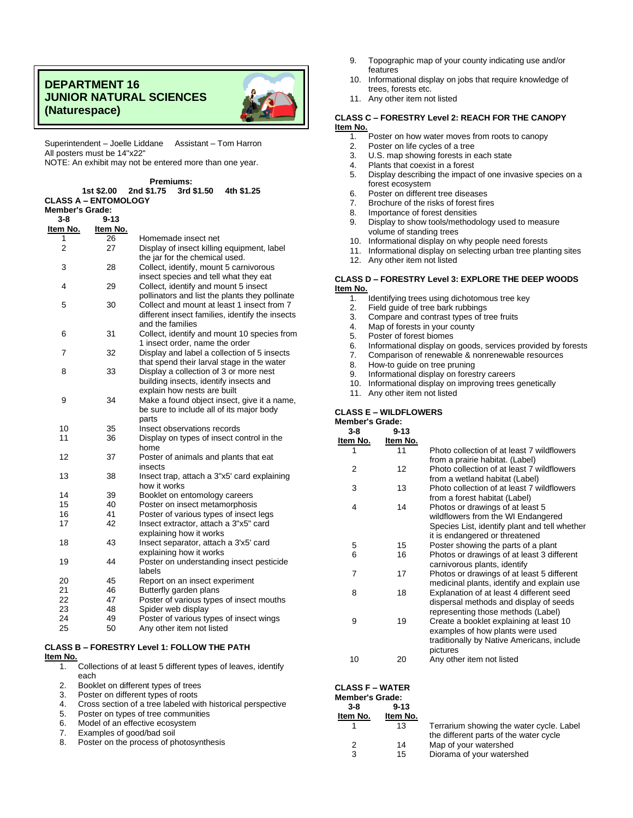## **DEPARTMENT 16 JUNIOR NATURAL SCIENCES (Naturespace)**



Superintendent – Joelle Liddane Assistant – Tom Harron All posters must be 14"x22" NOTE: An exhibit may not be entered more than one year.

**Premiums:**

|                        | 1st \$2.00                  | 11600000.<br>2nd \$1.75 3rd \$1.50<br>4th \$1.25                                       |
|------------------------|-----------------------------|----------------------------------------------------------------------------------------|
|                        | <b>CLASS A - ENTOMOLOGY</b> |                                                                                        |
| <b>Member's Grade:</b> |                             |                                                                                        |
| 3-8                    | $9 - 13$                    |                                                                                        |
| Item No.               | Item No.                    |                                                                                        |
| 1                      | 26                          | Homemade insect net                                                                    |
| $\overline{2}$         | 27                          | Display of insect killing equipment, label                                             |
|                        |                             | the jar for the chemical used.                                                         |
| 3                      | 28                          | Collect, identify, mount 5 carnivorous                                                 |
| 4                      | 29                          | insect species and tell what they eat                                                  |
|                        |                             | Collect, identify and mount 5 insect<br>pollinators and list the plants they pollinate |
| 5                      | 30                          | Collect and mount at least 1 insect from 7                                             |
|                        |                             | different insect families, identify the insects                                        |
|                        |                             | and the families                                                                       |
| 6                      | 31                          | Collect, identify and mount 10 species from                                            |
|                        |                             | 1 insect order, name the order                                                         |
| $\overline{7}$         | 32                          | Display and label a collection of 5 insects                                            |
|                        |                             | that spend their larval stage in the water                                             |
| 8                      | 33                          | Display a collection of 3 or more nest                                                 |
|                        |                             | building insects, identify insects and                                                 |
|                        |                             | explain how nests are built                                                            |
| 9                      | 34                          | Make a found object insect, give it a name,                                            |
|                        |                             | be sure to include all of its major body                                               |
|                        |                             | parts                                                                                  |
| 10                     | 35                          | Insect observations records                                                            |
| 11                     | 36                          | Display on types of insect control in the                                              |
| 12                     | 37                          | home<br>Poster of animals and plants that eat                                          |
|                        |                             | insects                                                                                |
| 13                     | 38                          | Insect trap, attach a 3"x5' card explaining                                            |
|                        |                             | how it works                                                                           |
| 14                     | 39                          | Booklet on entomology careers                                                          |
| 15                     | 40                          | Poster on insect metamorphosis                                                         |
| 16                     | 41                          | Poster of various types of insect legs                                                 |
| 17                     | 42                          | Insect extractor, attach a 3"x5" card                                                  |
|                        |                             | explaining how it works                                                                |
| 18                     | 43                          | Insect separator, attach a 3'x5' card                                                  |
|                        |                             | explaining how it works                                                                |
| 19                     | 44                          | Poster on understanding insect pesticide                                               |
|                        |                             | labels                                                                                 |
| 20                     | 45                          | Report on an insect experiment                                                         |
| 21<br>22               | 46<br>47                    | Butterfly garden plans                                                                 |
| 23                     | 48                          | Poster of various types of insect mouths<br>Spider web display                         |
| 24                     | 49                          | Poster of various types of insect wings                                                |
| 25                     | 50                          | Any other item not listed                                                              |
|                        |                             |                                                                                        |

## **CLASS B – FORESTRY Level 1: FOLLOW THE PATH Item No.**

1. Collections of at least 5 different types of leaves, identify each

2. Booklet on different types of trees

3. Poster on different types of roots

4. Cross section of a tree labeled with historical perspective

5. Poster on types of tree communities<br>6. Model of an effective ecosystem

Model of an effective ecosystem

7. Examples of good/bad soil

8. Poster on the process of photosynthesis

- 9. Topographic map of your county indicating use and/or features
- 10. Informational display on jobs that require knowledge of trees, forests etc.
- 11. Any other item not listed

#### **CLASS C – FORESTRY Level 2: REACH FOR THE CANOPY Item No.**

- 1. Poster on how water moves from roots to canopy<br>2. Poster on life cycles of a tree
- Poster on life cycles of a tree
- 3. U.S. map showing forests in each state
- 4. Plants that coexist in a forest<br>5. Display describing the impact
- Display describing the impact of one invasive species on a forest ecosystem
- 6. Poster on different tree diseases
- 7. Brochure of the risks of forest fires<br>8. Importance of forest densities
- Importance of forest densities
- 9. Display to show tools/methodology used to measure volume of standing trees
- 10. Informational display on why people need forests
- 11. Informational display on selecting urban tree planting sites
- 12. Any other item not listed

## **CLASS D – FORESTRY Level 3: EXPLORE THE DEEP WOODS Item No.**

- 1. Identifying trees using dichotomous tree key
- 2. Field guide of tree bark rubbings<br>3. Compare and contrast types of tr
- Compare and contrast types of tree fruits
- 
- 4. Map of forests in your county<br>5. Poster of forest biomes Poster of forest biomes
- 6. Informational display on goods, services provided by forests<br>7. Comparison of renewable & nonrenewable resources
- Comparison of renewable & nonrenewable resources
- 8. How-to guide on tree pruning
- 9. Informational display on forestry careers
- 10. Informational display on improving trees genetically
- 11. Any other item not listed

#### **CLASS E – WILDFLOWERS Member's Grade:**

**CLASS F – WATER Member's Grade: 3-8 Item No.**

**9-13 Item No.**<br>13

| viciliusi s viaus. |          |                                                                                                                                                           |
|--------------------|----------|-----------------------------------------------------------------------------------------------------------------------------------------------------------|
| 3-8                | $9 - 13$ |                                                                                                                                                           |
| Item No.           | Item No. |                                                                                                                                                           |
| 1                  | 11       | Photo collection of at least 7 wildflowers<br>from a prairie habitat. (Label)                                                                             |
| 2                  | 12       | Photo collection of at least 7 wildflowers<br>from a wetland habitat (Label)                                                                              |
| 3                  | 13       | Photo collection of at least 7 wildflowers<br>from a forest habitat (Label)                                                                               |
| 4                  | 14       | Photos or drawings of at least 5<br>wildflowers from the WI Endangered<br>Species List, identify plant and tell whether<br>it is endangered or threatened |
| 5                  | 15       | Poster showing the parts of a plant                                                                                                                       |
| 6                  | 16       | Photos or drawings of at least 3 different<br>carnivorous plants, identify                                                                                |
| 7                  | 17       | Photos or drawings of at least 5 different<br>medicinal plants, identify and explain use                                                                  |
| 8                  | 18       | Explanation of at least 4 different seed<br>dispersal methods and display of seeds<br>representing those methods (Label)                                  |
| 9                  | 19       | Create a booklet explaining at least 10<br>examples of how plants were used<br>traditionally by Native Americans, include<br>pictures                     |
| 10                 | 20       | Any other item not listed                                                                                                                                 |

1 13 Terrarium showing the water cycle. Label the different parts of the water cycle 2 14 Map of your watershed 3 15 Diorama of your watershed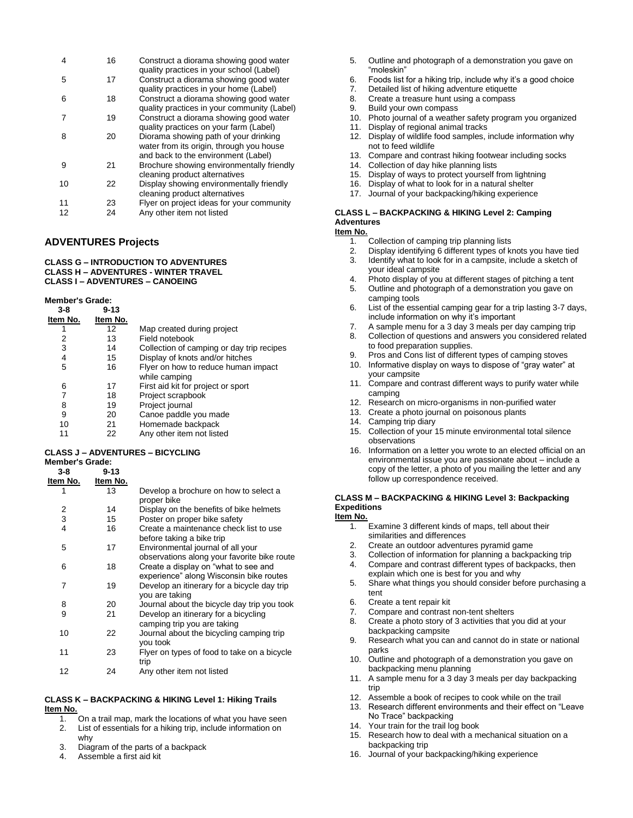| 4  | 16 | Construct a diorama showing good water<br>quality practices in your school (Label)                                       |
|----|----|--------------------------------------------------------------------------------------------------------------------------|
| 5  | 17 | Construct a diorama showing good water<br>quality practices in your home (Label)                                         |
| 6  | 18 | Construct a diorama showing good water<br>quality practices in your community (Label)                                    |
| 7  | 19 | Construct a diorama showing good water<br>quality practices on your farm (Label)                                         |
| 8  | 20 | Diorama showing path of your drinking<br>water from its origin, through you house<br>and back to the environment (Label) |
| 9  | 21 | Brochure showing environmentally friendly<br>cleaning product alternatives                                               |
| 10 | 22 | Display showing environmentally friendly<br>cleaning product alternatives                                                |
| 11 | 23 | Flyer on project ideas for your community                                                                                |
| 12 | 24 | Any other item not listed                                                                                                |

## **ADVENTURES Projects**

#### **CLASS G – INTRODUCTION TO ADVENTURES CLASS H – ADVENTURES - WINTER TRAVEL CLASS I – ADVENTURES – CANOEING**

#### **Member's Grade:**

| $3-8$    | $9 - 13$ |                                                      |
|----------|----------|------------------------------------------------------|
| Item No. | Item No. |                                                      |
|          | 12       | Map created during project                           |
| 2        | 13       | Field notebook                                       |
| 3        | 14       | Collection of camping or day trip recipes            |
| 4        | 15       | Display of knots and/or hitches                      |
| 5        | 16       | Flyer on how to reduce human impact<br>while camping |
| 6        | 17       | First aid kit for project or sport                   |
|          | 18       | Project scrapbook                                    |
| 8        | 19       | Project journal                                      |
| 9        | 20       | Canoe paddle you made                                |
| 10       | 21       | Homemade backpack                                    |
|          | 22       | Any other item not listed                            |
|          |          |                                                      |

#### **CLASS J – ADVENTURES – BICYCLING Member's Grade:**

#### **3-8 9-13**

| Item No. | Item No. |                                                                                  |
|----------|----------|----------------------------------------------------------------------------------|
| 1        | 13       | Develop a brochure on how to select a<br>proper bike                             |
| 2        | 14       | Display on the benefits of bike helmets                                          |
| 3        | 15       | Poster on proper bike safety                                                     |
| 4        | 16       | Create a maintenance check list to use<br>before taking a bike trip              |
| 5        | 17       | Environmental journal of all your<br>observations along your favorite bike route |
| 6        | 18       | Create a display on "what to see and<br>experience" along Wisconsin bike routes  |
| 7        | 19       | Develop an itinerary for a bicycle day trip<br>you are taking                    |
| 8        | 20       | Journal about the bicycle day trip you took                                      |
| 9        | 21       | Develop an itinerary for a bicycling<br>camping trip you are taking              |
| 10       | 22       | Journal about the bicycling camping trip<br>you took                             |
| 11       | 23       | Flyer on types of food to take on a bicycle<br>trip                              |
| 12       | 24       | Any other item not listed                                                        |

#### **CLASS K – BACKPACKING & HIKING Level 1: Hiking Trails Item No.**

- 1. On a trail map, mark the locations of what you have seen
- 2. List of essentials for a hiking trip, include information on why
- 3. Diagram of the parts of a backpack
- 4. Assemble a first aid kit
- 5. Outline and photograph of a demonstration you gave on "moleskin"
- 6. Foods list for a hiking trip, include why it's a good choice
- 7. Detailed list of hiking adventure etiquette
- 8. Create a treasure hunt using a compass
- 9. Build your own compass
- 10. Photo journal of a weather safety program you organized
- 11. Display of regional animal tracks
- 12. Display of wildlife food samples, include information why not to feed wildlife
- 13. Compare and contrast hiking footwear including socks
- 14. Collection of day hike planning lists
- 15. Display of ways to protect yourself from lightning
- 16. Display of what to look for in a natural shelter
- 17. Journal of your backpacking/hiking experience

## **CLASS L – BACKPACKING & HIKING Level 2: Camping Adventures**

## **Item No.**

- 1. Collection of camping trip planning lists<br>2. Display identifying 6 different types of k
- 2. Display identifying 6 different types of knots you have tied<br>3. Identify what to look for in a campsite, include a sketch of Identify what to look for in a campsite, include a sketch of
- your ideal campsite
- 4. Photo display of you at different stages of pitching a tent
- 5. Outline and photograph of a demonstration you gave on camping tools
- 6. List of the essential camping gear for a trip lasting 3-7 days, include information on why it's important
- 7. A sample menu for a 3 day 3 meals per day camping trip 8. Collection of questions and answers you considered related
- to food preparation supplies.
- 9. Pros and Cons list of different types of camping stoves 10. Informative display on ways to dispose of "gray water" at
- your campsite
- 11. Compare and contrast different ways to purify water while camping
- 12. Research on micro-organisms in non-purified water
- 13. Create a photo journal on poisonous plants
- 14. Camping trip diary
- 15. Collection of your 15 minute environmental total silence observations
- 16. Information on a letter you wrote to an elected official on an environmental issue you are passionate about – include a copy of the letter, a photo of you mailing the letter and any follow up correspondence received.

## **CLASS M – BACKPACKING & HIKING Level 3: Backpacking Expeditions**

#### **Item No.**

- 1. Examine 3 different kinds of maps, tell about their similarities and differences
- 2. Create an outdoor adventures pyramid game
- 3. Collection of information for planning a backpacking trip
- 4. Compare and contrast different types of backpacks, then explain which one is best for you and why
- 5. Share what things you should consider before purchasing a tent
- 6. Create a tent repair kit
- 7. Compare and contrast non-tent shelters
- 8. Create a photo story of 3 activities that you did at your backpacking campsite
- 9. Research what you can and cannot do in state or national parks
- 10. Outline and photograph of a demonstration you gave on backpacking menu planning
- 11. A sample menu for a 3 day 3 meals per day backpacking trip
- 12. Assemble a book of recipes to cook while on the trail
- 13. Research different environments and their effect on "Leave No Trace" backpacking
- 14. Your train for the trail log book
- 15. Research how to deal with a mechanical situation on a backpacking trip
- 16. Journal of your backpacking/hiking experience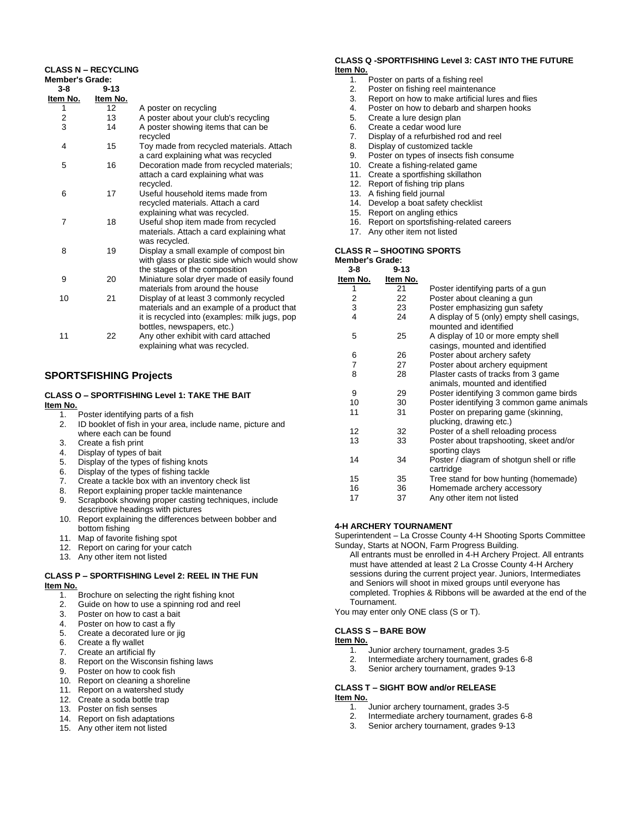### **CLASS N – RECYCLING**

| <b>Member's Grade:</b>  |          |                                                                                                                                                                      |
|-------------------------|----------|----------------------------------------------------------------------------------------------------------------------------------------------------------------------|
| $3 - 8$                 | $9 - 13$ |                                                                                                                                                                      |
| Item No.                | Item No. |                                                                                                                                                                      |
| 1                       | 12       | A poster on recycling                                                                                                                                                |
| $\overline{\mathbf{c}}$ | 13       | A poster about your club's recycling                                                                                                                                 |
| 3                       | 14       | A poster showing items that can be<br>recycled                                                                                                                       |
| 4                       | 15       | Toy made from recycled materials. Attach<br>a card explaining what was recycled                                                                                      |
| 5                       | 16       | Decoration made from recycled materials;<br>attach a card explaining what was<br>recycled.                                                                           |
| 6                       | 17       | Useful household items made from<br>recycled materials. Attach a card<br>explaining what was recycled.                                                               |
| 7                       | 18       | Useful shop item made from recycled<br>materials. Attach a card explaining what<br>was recycled.                                                                     |
| 8                       | 19       | Display a small example of compost bin<br>with glass or plastic side which would show<br>the stages of the composition                                               |
| 9                       | 20       | Miniature solar dryer made of easily found<br>materials from around the house                                                                                        |
| 10                      | 21       | Display of at least 3 commonly recycled<br>materials and an example of a product that<br>it is recycled into (examples: milk jugs, pop<br>bottles, newspapers, etc.) |
| 11                      | 22       | Any other exhibit with card attached<br>explaining what was recycled.                                                                                                |

## **SPORTSFISHING Projects**

## **CLASS O – SPORTFISHING Level 1: TAKE THE BAIT**

**Item No.**

- 1. Poster identifying parts of a fish
	- 2. ID booklet of fish in your area, include name, picture and where each can be found
	- 3. Create a fish print
	- 4. Display of types of bait
	- 5. Display of the types of fishing knots
	- 6. Display of the types of fishing tackle
	- 7. Create a tackle box with an inventory check list
	- 8. Report explaining proper tackle maintenance<br>9. Scrapbook showing proper casting technique
	- Scrapbook showing proper casting techniques, include descriptive headings with pictures
	- 10. Report explaining the differences between bobber and bottom fishing
	- 11. Map of favorite fishing spot
	- 12. Report on caring for your catch
	- 13. Any other item not listed

## **CLASS P – SPORTFISHING Level 2: REEL IN THE FUN Item No.**

- 1. Brochure on selecting the right fishing knot
- 2. Guide on how to use a spinning rod and reel
- 3. Poster on how to cast a bait
- 4. Poster on how to cast a fly
- 5. Create a decorated lure or jig
- 6. Create a fly wallet
- 7. Create an artificial fly
- 8. Report on the Wisconsin fishing laws
- 9. Poster on how to cook fish
- 10. Report on cleaning a shoreline
- 11. Report on a watershed study
- 12. Create a soda bottle trap
- 13. Poster on fish senses
- 14. Report on fish adaptations
- 15. Any other item not listed

# **CLASS Q -SPORTFISHING Level 3: CAST INTO THE FUTURE Item No.**

- Poster on parts of a fishing reel
- 2. Poster on fishing reel maintenance
- 3. Report on how to make artificial lures and flies<br>4 Poster on how to debarb and sharpen hooks
- 4. Poster on how to debarb and sharpen hooks<br>5. Create a lure design plan
- Create a lure design plan
- 6. Create a cedar wood lure
- 7. Display of a refurbished rod and reel
- 8. Display of customized tackle
- 9. Poster on types of insects fish consume
- 10. Create a fishing-related game<br>11. Create a sportfishing skillathor
- Create a sportfishing skillathon
- 12. Report of fishing trip plans
- 13. A fishing field journal
- 14. Develop a boat safety checklist
- 15. Report on angling ethics
- 16. Report on sportsfishing-related careers 17. Any other item not listed

## **CLASS R – SHOOTING SPORTS Member's Grade:**

| $9 - 13$ |                                            |
|----------|--------------------------------------------|
| Item No. |                                            |
| 21       | Poster identifying parts of a gun          |
| 22       | Poster about cleaning a gun                |
| 23       | Poster emphasizing gun safety              |
| 24       | A display of 5 (only) empty shell casings, |
|          | mounted and identified                     |
| 25       | A display of 10 or more empty shell        |
|          | casings, mounted and identified            |
| 26       | Poster about archery safety                |
| 27       | Poster about archery equipment             |
| 28       | Plaster casts of tracks from 3 game        |
|          | animals, mounted and identified            |
| 29       | Poster identifying 3 common game birds     |
| 30       | Poster identifying 3 common game animals   |
| 31       | Poster on preparing game (skinning,        |
|          | plucking, drawing etc.)                    |
| 32       | Poster of a shell reloading process        |
| 33       | Poster about trapshooting, skeet and/or    |
|          | sporting clays                             |
| 34       | Poster / diagram of shotgun shell or rifle |
|          | cartridge                                  |
| 35       | Tree stand for bow hunting (homemade)      |
| 36       | Homemade archery accessory                 |
| 37       | Any other item not listed                  |
|          |                                            |

### **4-H ARCHERY TOURNAMENT**

Superintendent – La Crosse County 4-H Shooting Sports Committee Sunday, Starts at NOON, Farm Progress Building.

- All entrants must be enrolled in 4-H Archery Project. All entrants must have attended at least 2 La Crosse County 4-H Archery sessions during the current project year. Juniors, Intermediates and Seniors will shoot in mixed groups until everyone has completed. Trophies & Ribbons will be awarded at the end of the Tournament.
- You may enter only ONE class (S or T).
- **CLASS S – BARE BOW**

## **Item No.**

- 1. Junior archery tournament, grades 3-5
- 2. Intermediate archery tournament, grades 6-8
- 3. Senior archery tournament, grades 9-13
- **CLASS T – SIGHT BOW and/or RELEASE**

## **Item No.**

- 1. Junior archery tournament, grades 3-5
- 2. Intermediate archery tournament, grades 6-8<br>3. Senior archery tournament, grades 9-13
- Senior archery tournament, grades 9-13
- 
- 
- 
-